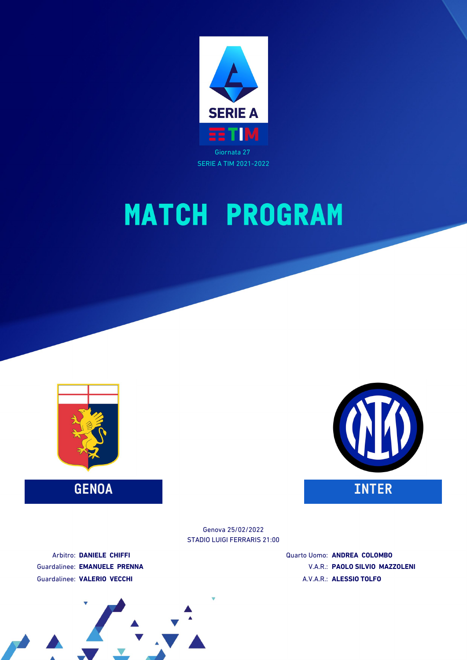



**GENOA INTER**



STADIO LUIGI FERRARIS 21:00 Genova 25/02/2022

Arbitro: **DANIELE CHIFFI** Guardalinee: **EMANUELE PRENNA** Guardalinee: **VALERIO VECCHI**

Quarto Uomo: **ANDREA COLOMBO** V.A.R.: **PAOLO SILVIO MAZZOLENI** A.V.A.R.: **ALESSIO TOLFO**

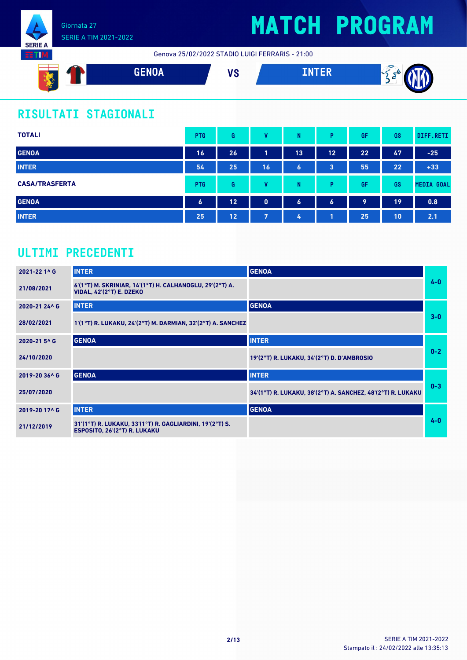

Genova 25/02/2022 STADIO LUIGI FERRARIS - 21:00



### **RISULTATI STAGIONALI**

| <b>TOTALI</b>         | <b>PTG</b>       | G  | v        | N                | Þ                | GF | GS | DIFF.RETI         |
|-----------------------|------------------|----|----------|------------------|------------------|----|----|-------------------|
| <b>GENOA</b>          | 16               | 26 | л        | 13               | 12               | 22 | 47 | $-25$             |
| <b>INTER</b>          | 54               | 25 | 16       | $\bullet$        | 3                | 55 | 22 | $+33$             |
| <b>CASA/TRASFERTA</b> | <b>PTG</b>       | G  | v        | N                | D                | GF | GS | <b>MEDIA GOAL</b> |
| <b>GENOA</b>          | $\boldsymbol{6}$ | 12 | $\bf{0}$ | $\boldsymbol{6}$ | $\boldsymbol{6}$ | 9  | 19 | 0.8               |
| <b>INTER</b>          | 25               | 12 | 7        | 4                |                  | 25 | 10 | 2.1               |

### **ULTIMI PRECEDENTI**

| 2021-22 1^ G  | <b>INTER</b>                                                                                | <b>GENOA</b>                                                |         |
|---------------|---------------------------------------------------------------------------------------------|-------------------------------------------------------------|---------|
| 21/08/2021    | 6'(1°T) M. SKRINIAR, 14'(1°T) H. CALHANOGLU, 29'(2°T) A.<br><b>VIDAL, 42'(2°T) E. DZEKO</b> |                                                             | $4 - 0$ |
| 2020-21 24^ G | <b>INTER</b>                                                                                | <b>GENOA</b>                                                |         |
| 28/02/2021    | $1'(1°T)$ R. LUKAKU, 24'(2°T) M. DARMIAN, 32'(2°T) A. SANCHEZ                               |                                                             | $3-0$   |
| 2020-21 5^ G  | <b>GENOA</b>                                                                                | <b>INTER</b>                                                |         |
| 24/10/2020    |                                                                                             | 19'(2°T) R. LUKAKU, 34'(2°T) D. D'AMBROSIO                  | $0-2$   |
| 2019-20 36^ G | <b>GENOA</b>                                                                                | <b>INTER</b>                                                |         |
| 25/07/2020    |                                                                                             | 34'(1°T) R. LUKAKU, 38'(2°T) A. SANCHEZ, 48'(2°T) R. LUKAKU | $0 - 3$ |
| 2019-20 17^ G | <b>INTER</b>                                                                                | <b>GENOA</b>                                                |         |
| 21/12/2019    | 31'(1°T) R. LUKAKU, 33'(1°T) R. GAGLIARDINI, 19'(2°T) S.<br>ESPOSITO, 26'(2°T) R. LUKAKU    |                                                             | $4 - 0$ |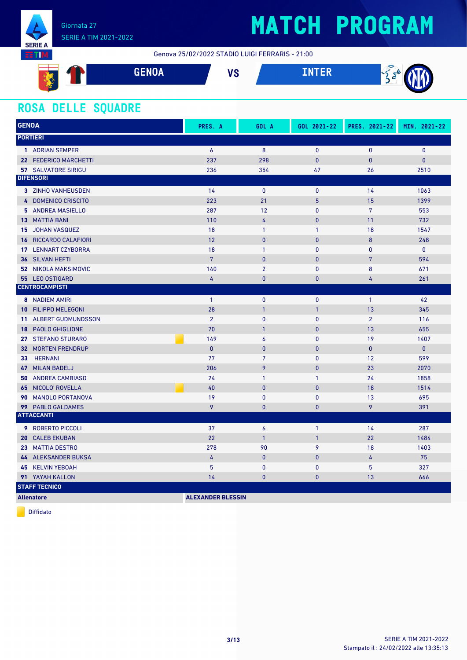

### SERIE A TIM 2021-2022

# **MATCH PROGRAM**

Genova 25/02/2022 STADIO LUIGI FERRARIS - 21:00



#### **ROSA DELLE SQUADRE**

| <b>GENOA</b>                                 | PRES. A                  | GOL A           | GOL 2021-22    | PRES. 2021-22  | MIN. 2021-22 |
|----------------------------------------------|--------------------------|-----------------|----------------|----------------|--------------|
| <b>PORTIERI</b>                              |                          |                 |                |                |              |
| 1 ADRIAN SEMPER                              | $\overline{6}$           | 8               | $\mathbf{0}$   | $\mathbf{0}$   | $\mathbf{0}$ |
| 22 FEDERICO MARCHETTI                        | 237                      | 298             | $\mathbf{0}$   | $\overline{0}$ | $\mathbf{0}$ |
| <b>57 SALVATORE SIRIGU</b>                   | 236                      | 354             | 47             | 26             | 2510         |
| <b>DIFENSORI</b>                             |                          |                 |                |                |              |
| 3 ZINHO VANHEUSDEN                           | 14                       | $\mathbf{0}$    | $\mathbf{0}$   | 14             | 1063         |
| 4 DOMENICO CRISCITO                          | 223                      | 21              | 5              | 15             | 1399         |
| 5 ANDREA MASIELLO                            | 287                      | 12              | $\mathbf{0}$   | $\overline{7}$ | 553          |
| <b>13 MATTIA BANI</b>                        | 110                      | 4               | $\overline{0}$ | 11             | 732          |
| <b>JOHAN VASQUEZ</b><br>15                   | 18                       | $\mathbf{1}$    | $\mathbf{1}$   | 18             | 1547         |
| RICCARDO CALAFIORI<br>16                     | 12                       | $\mathbf{0}$    | $\mathbf{0}$   | 8              | 248          |
| <b>LENNART CZYBORRA</b><br>17                | 18                       | $\mathbf{1}$    | $\mathbf{0}$   | $\mathbf{0}$   | $\mathbf{0}$ |
| SILVAN HEFTI<br>36                           | $\overline{7}$           | $\mathbf{0}$    | $\mathbf{0}$   | $\overline{7}$ | 594          |
| <b>52 NIKOLA MAKSIMOVIC</b>                  | 140                      | $\overline{2}$  | $\mathbf{0}$   | 8              | 671          |
| 55 LEO OSTIGARD                              | $\overline{4}$           | $\mathbf{0}$    | $\mathbf{0}$   | 4              | 261          |
| <b>CENTROCAMPISTI</b>                        |                          |                 |                |                |              |
| 8 NADIEM AMIRI                               | $\mathbf{1}$             | $\mathbf{0}$    | $\mathbf{0}$   | $\overline{1}$ | 42           |
| <b>FILIPPO MELEGONI</b><br>10                | 28                       | $\overline{1}$  | $\mathbf{1}$   | 13             | 345          |
| <b>ALBERT GUDMUNDSSON</b><br>11 <sup>1</sup> | $\overline{2}$           | $\mathbf{0}$    | $\mathbf{0}$   | $\overline{2}$ | 116          |
| <b>PAOLO GHIGLIONE</b><br>18                 | 70                       | $\mathbf{1}$    | $\mathbf{0}$   | 13             | 655          |
| 27 STEFANO STURARO                           | 149                      | 6               | $\mathbf{0}$   | 19             | 1407         |
| <b>MORTEN FRENDRUP</b><br>32                 | $\mathbf{0}$             | $\mathbf{0}$    | $\bf{0}$       | $\mathbf{0}$   | $\pmb{0}$    |
| <b>HERNANI</b><br>33                         | 77                       | $7\overline{ }$ | $\mathbf{0}$   | 12             | 599          |
| <b>MILAN BADELJ</b><br>47                    | 206                      | 9               | $\mathbf{0}$   | 23             | 2070         |
| <b>ANDREA CAMBIASO</b><br>50                 | 24                       | $\mathbf{1}$    | 1              | 24             | 1858         |
| NICOLO' ROVELLA<br>65                        | 40                       | $\mathbf{0}$    | $\pmb{0}$      | 18             | 1514         |
| <b>MANOLO PORTANOVA</b><br>90                | 19                       | $\mathbf{0}$    | $\mathbf{0}$   | 13             | 695          |
| 99 PABLO GALDAMES                            | 9                        | $\mathbf{0}$    | $\mathbf{0}$   | 9              | 391          |
| <b>ATTACCANTI</b>                            |                          |                 |                |                |              |
| <b>9 ROBERTO PICCOLI</b>                     | 37                       | 6               | $\mathbf{1}$   | 14             | 287          |
| <b>CALEB EKUBAN</b><br>20                    | 22                       | $\mathbf{1}$    | $\mathbf{1}$   | 22             | 1484         |
| 23 MATTIA DESTRO                             | 278                      | 90              | 9              | 18             | 1403         |
| 44 ALEKSANDER BUKSA                          | 4                        | $\mathbf{0}$    | $\mathbf{0}$   | 4              | 75           |
| 45 KELVIN YEBOAH                             | 5                        | $\mathbf{0}$    | $\mathbf{0}$   | 5              | 327          |
| 91 YAYAH KALLON                              | 14                       | $\mathbf{0}$    | $\bf{0}$       | 13             | 666          |
| <b>STAFF TECNICO</b>                         |                          |                 |                |                |              |
| <b>Allenatore</b>                            | <b>ALEXANDER BLESSIN</b> |                 |                |                |              |

Diffidato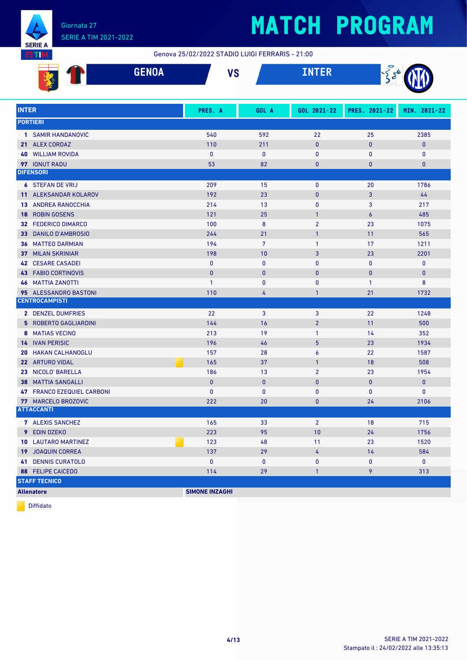

ŦП

### **MATCH PROGRAM**

Genova 25/02/2022 STADIO LUIGI FERRARIS - 21:00

|                 | <b>GENOA</b>                   | <b>VS</b>             |                | <b>INTER</b>   | $\frac{1}{2}$    |              |
|-----------------|--------------------------------|-----------------------|----------------|----------------|------------------|--------------|
|                 |                                |                       |                |                |                  |              |
| <b>INTER</b>    |                                | PRES. A               | GOL A          | GOL 2021-22    | PRES. 2021-22    | MIN. 2021-22 |
|                 | <b>PORTIERI</b>                |                       |                |                |                  |              |
|                 | 1 SAMIR HANDANOVIC             | 540                   | 592            | 22             | 25               | 2385         |
|                 | 21 ALEX CORDAZ                 | 110                   | 211            | $\bf{0}$       | $\mathbf{0}$     | $\mathbf 0$  |
| 40              | <b>WILLIAM ROVIDA</b>          | $\mathbf{0}$          | $\mathbf{0}$   | 0              | $\mathbf{0}$     | $\mathbf{0}$ |
|                 | 97 IONUT RADU                  | 53                    | 82             | $\mathbf{0}$   | 0                | $\mathbf 0$  |
|                 | <b>DIFENSORI</b>               |                       |                |                |                  |              |
|                 | <b>6 STEFAN DE VRIJ</b>        | 209                   | 15             | $\mathbf 0$    | 20               | 1786         |
|                 | 11 ALEKSANDAR KOLAROV          | 192                   | 23             | $\mathbf{0}$   | 3                | 44           |
|                 | <b>13 ANDREA RANOCCHIA</b>     | 214                   | 13             | $\pmb{0}$      | 3                | 217          |
| 18              | <b>ROBIN GOSENS</b>            | 121                   | 25             | $\mathbf{1}$   | $\boldsymbol{6}$ | 485          |
|                 | 32 FEDERICO DIMARCO            | 100                   | $\bf 8$        | $\overline{2}$ | 23               | 1075         |
| 33              | <b>DANILO D'AMBROSIO</b>       | 244                   | 21             | $\mathbf{1}$   | 11               | 565          |
|                 | <b>36 MATTEO DARMIAN</b>       | 194                   | $\overline{7}$ | $\mathbf{1}$   | 17               | 1211         |
| 37              | <b>MILAN SKRINIAR</b>          | 198                   | 10             | 3              | 23               | 2201         |
| 42              | <b>CESARE CASADEI</b>          | $\mathbf{0}$          | $\mathbf{0}$   | $\mathbf{0}$   | $\mathbf{0}$     | $\mathbf 0$  |
| 43              | <b>FABIO CORTINOVIS</b>        | 0                     | $\bf{0}$       | $\pmb{0}$      | $\mathbf{0}$     | $\pmb{0}$    |
| 46              | <b>MATTIA ZANOTTI</b>          | $\mathbf{1}$          | $\mathbf{0}$   | 0              | $\mathbf{1}$     | 8            |
|                 | 95 ALESSANDRO BASTONI          | 110                   | 4              | $\mathbf{1}$   | 21               | 1732         |
|                 | <b>CENTROCAMPISTI</b>          |                       |                |                |                  |              |
|                 | 2 DENZEL DUMFRIES              | 22                    | 3              | 3              | 22               | 1248         |
|                 | <b>5 ROBERTO GAGLIARDINI</b>   | 144                   | 16             | $\overline{2}$ | 11               | 500          |
|                 | 8 MATIAS VECINO                | 213                   | 19             | $\mathbf{1}$   | 14               | 352          |
|                 | <b>14 IVAN PERISIC</b>         | 196                   | 46             | 5              | 23               | 1934         |
| 20              | <b>HAKAN CALHANOGLU</b>        | 157                   | 28             | 6              | 22               | 1587         |
| 22 <sub>2</sub> | <b>ARTURO VIDAL</b>            | 165                   | 37             | $\mathbf{1}$   | 18               | 508          |
| 23              | NICOLO' BARELLA                | 186                   | 13             | $\overline{2}$ | 23               | 1954         |
| 38              | <b>MATTIA SANGALLI</b>         | $\mathbf{0}$          | $\mathbf{0}$   | $\mathbf{0}$   | $\bf{0}$         | $\mathbf{0}$ |
| 47              | <b>FRANCO EZEQUIEL CARBONI</b> | 0                     | $\pmb{0}$      | $\pmb{0}$      | $\pmb{0}$        | 0            |
|                 | 77 MARCELO BROZOVIC            | 222                   | 20             | $\bf{0}$       | 24               | 2106         |
|                 | <b>ATTACCANTI</b>              |                       |                |                |                  |              |
|                 | 7 ALEXIS SANCHEZ               | 165                   | 33             | $\overline{2}$ | 18               | 715          |
|                 | 9 EDIN DZEKO                   | 223                   | 95             | 10             | 24               | 1756         |
|                 | <b>10 LAUTARO MARTINEZ</b>     | 123                   | 48             | 11             | 23               | 1520         |
|                 | 19 JOAQUIN CORREA              | 137                   | 29             | 4              | 14               | 584          |
|                 | <b>41 DENNIS CURATOLO</b>      | 0                     | 0              | 0              | 0                | $\mathbf{0}$ |
|                 | <b>88 FELIPE CAICEDO</b>       | 114                   | 29             | $\mathbf{1}$   | 9                | 313          |
|                 | <b>STAFF TECNICO</b>           |                       |                |                |                  |              |
|                 | <b>Allenatore</b>              | <b>SIMONE INZAGHI</b> |                |                |                  |              |

Diffidato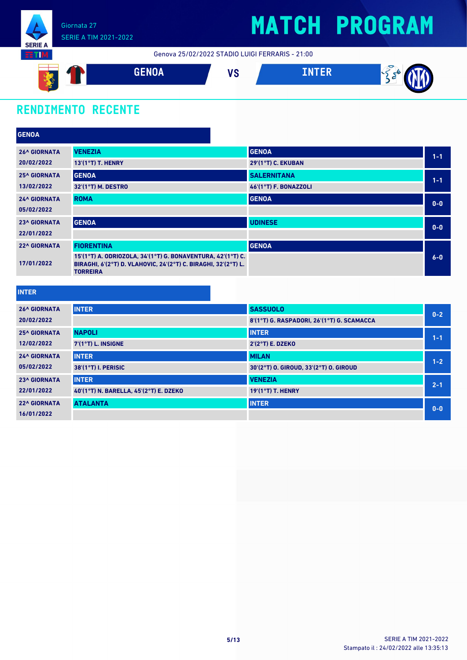

Genova 25/02/2022 STADIO LUIGI FERRARIS - 21:00



### **RENDIMENTO RECENTE**

| <b>GENOA</b>        |                                                                                                                                                  |                           |         |
|---------------------|--------------------------------------------------------------------------------------------------------------------------------------------------|---------------------------|---------|
| <b>26^ GIORNATA</b> | <b>VENEZIA</b>                                                                                                                                   | <b>GENOA</b>              | $1 - 1$ |
| 20/02/2022          | 13'(1°T) T. HENRY                                                                                                                                | <b>29'(1°T) C. EKUBAN</b> |         |
| <b>25^ GIORNATA</b> | <b>GENOA</b>                                                                                                                                     | <b>SALERNITANA</b>        | $1 - 1$ |
| 13/02/2022          | 32'(1°T) M. DESTRO                                                                                                                               | 46'(1°T) F. BONAZZOLI     |         |
| <b>24^ GIORNATA</b> | <b>ROMA</b>                                                                                                                                      | <b>GENOA</b>              | $0-0$   |
| 05/02/2022          |                                                                                                                                                  |                           |         |
| <b>23^ GIORNATA</b> | <b>GENOA</b>                                                                                                                                     | <b>UDINESE</b>            | $0-0$   |
| 22/01/2022          |                                                                                                                                                  |                           |         |
| <b>22^ GIORNATA</b> | <b>FIORENTINA</b>                                                                                                                                | <b>GENOA</b>              |         |
| 17/01/2022          | 15'(1°T) A. ODRIOZOLA, 34'(1°T) G. BONAVENTURA, 42'(1°T) C.<br>BIRAGHI, 6'(2°T) D. VLAHOVIC, 24'(2°T) C. BIRAGHI, 32'(2°T) L.<br><b>TORREIRA</b> |                           | $6-0$   |

**INTER**

| <b>26^ GIORNATA</b> | <b>INTER</b>                           | <b>SASSUOLO</b>                            | $0 - 2$ |
|---------------------|----------------------------------------|--------------------------------------------|---------|
| 20/02/2022          |                                        | 8'(1°T) G. RASPADORI, 26'(1°T) G. SCAMACCA |         |
| <b>25^ GIORNATA</b> | <b>NAPOLI</b>                          | <b>INTER</b>                               | $1 - 1$ |
| 12/02/2022          | 7'(1°T) L. INSIGNE                     | $2'(2°T)$ E. DZEKO                         |         |
| <b>24^ GIORNATA</b> | <b>INTER</b>                           | <b>MILAN</b>                               | $1 - 2$ |
| 05/02/2022          | 38'(1°T) I. PERISIC                    | 30'(2°T) O. GIROUD, 33'(2°T) O. GIROUD     |         |
| <b>23^ GIORNATA</b> | <b>INTER</b>                           | <b>VENEZIA</b>                             | $2 - 1$ |
| 22/01/2022          | 40'(1°T) N. BARELLA, 45'(2°T) E. DZEKO | $19'(1°T)$ T. HENRY                        |         |
| <b>22^ GIORNATA</b> | <b>ATALANTA</b>                        | <b>INTER</b>                               | $0 - 0$ |
| 16/01/2022          |                                        |                                            |         |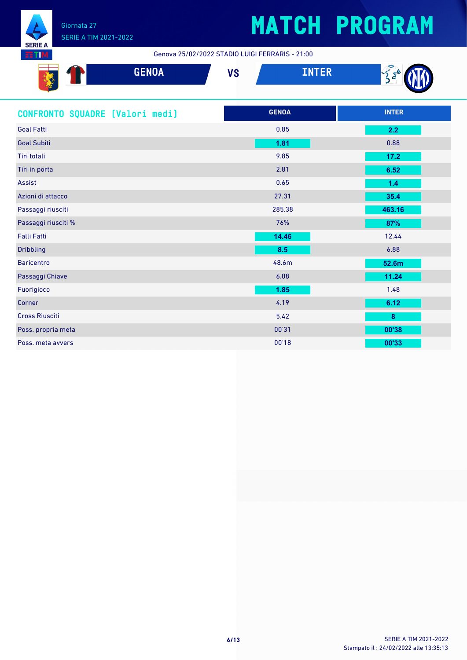

87 I

## **MATCH PROGRAM**

Genova 25/02/2022 STADIO LUIGI FERRARIS - 21:00

| .<br>ಗ<br>a. | <b>GENOA</b> | $\mathbf{u}$<br>70 | TNTED<br>خلالا المحمد |  |
|--------------|--------------|--------------------|-----------------------|--|
| <b>Read</b>  |              |                    |                       |  |

| CONFRONTO SQUADRE [Valori medi] | <b>GENOA</b> | <b>INTER</b> |
|---------------------------------|--------------|--------------|
| <b>Goal Fatti</b>               | 0.85         | 2.2          |
| <b>Goal Subiti</b>              | 1.81         | 0.88         |
| Tiri totali                     | 9.85         | $17.2$       |
| Tiri in porta                   | 2.81         | 6.52         |
| Assist                          | 0.65         | 1.4          |
| Azioni di attacco               | 27.31        | 35.4         |
| Passaggi riusciti               | 285.38       | 463.16       |
| Passaggi riusciti %             | 76%          | 87%          |
| <b>Falli Fatti</b>              | 14.46        | 12.44        |
| <b>Dribbling</b>                | 8.5          | 6.88         |
| <b>Baricentro</b>               | 48.6m        | 52.6m        |
| Passaggi Chiave                 | 6.08         | 11.24        |
| Fuorigioco                      | 1.85         | 1.48         |
| Corner                          | 4.19         | 6.12         |
| <b>Cross Riusciti</b>           | 5.42         | $\pmb{8}$    |
| Poss. propria meta              | 00'31        | 00'38        |
| Poss, meta avvers               | 00'18        | 00'33        |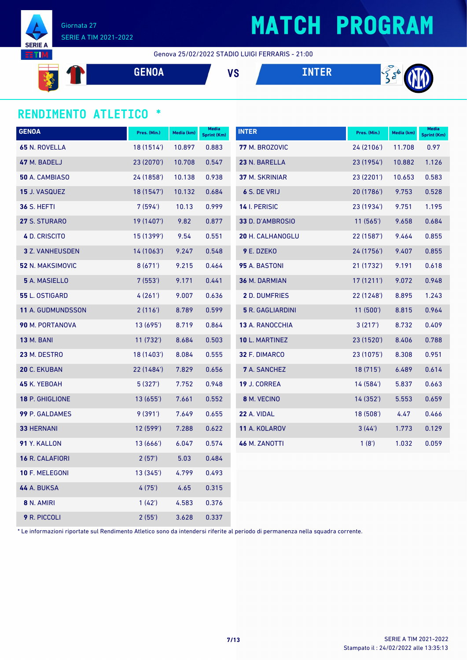

Giornata 27 SERIE A TIM 2021-2022

Genova 25/02/2022 STADIO LUIGI FERRARIS - 21:00

 $\frac{1}{2}$ **GENOA VS INTER**

#### **RENDIMENTO ATLETICO \***

**SERIE** TI

| <b>GENOA</b>             | Pres. (Min.) | Media (km) | Media<br><b>Sprint (Km)</b> | <b>INTER</b>            | Pres. (Min.) | Media (km) | <b>Media</b><br><b>Sprint (Km)</b> |
|--------------------------|--------------|------------|-----------------------------|-------------------------|--------------|------------|------------------------------------|
| 65 N. ROVELLA            | 18 (1514')   | 10.897     | 0.883                       | 77 M. BROZOVIC          | 24 (2106')   | 11.708     | 0.97                               |
| 47 M. BADELJ             | 23 (2070')   | 10.708     | 0.547                       | 23 N. BARELLA           | 23 (1954')   | 10.882     | 1.126                              |
| 50 A. CAMBIASO           | 24 (1858')   | 10.138     | 0.938                       | 37 M. SKRINIAR          | 23(2201)     | 10.653     | 0.583                              |
| <b>15 J. VASQUEZ</b>     | 18 (1547')   | 10.132     | 0.684                       | 6 S. DE VRIJ            | 20 (1786')   | 9.753      | 0.528                              |
| <b>36 S. HEFTI</b>       | 7(594)       | 10.13      | 0.999                       | 14 I. PERISIC           | 23 (1934')   | 9.751      | 1.195                              |
| 27 S. STURARO            | 19 (1407')   | 9.82       | 0.877                       | 33 D. D'AMBROSIO        | 11(565)      | 9.658      | 0.684                              |
| 4 D. CRISCITO            | 15 (1399')   | 9.54       | 0.551                       | 20 H. CALHANOGLU        | 22 (1587')   | 9.464      | 0.855                              |
| <b>3</b> Z. VANHEUSDEN   | 14(1063)     | 9.247      | 0.548                       | 9 E. DZEKO              | 24 (1756')   | 9.407      | 0.855                              |
| 52 N. MAKSIMOVIC         | 8(671)       | 9.215      | 0.464                       | <b>95</b> A. BASTONI    | 21 (1732')   | 9.191      | 0.618                              |
| 5 A. MASIELLO            | 7(553)       | 9.171      | 0.441                       | 36 M. DARMIAN           | 17(1211)     | 9.072      | 0.948                              |
| 55 L. OSTIGARD           | 4(261)       | 9.007      | 0.636                       | <b>2</b> D. DUMFRIES    | 22 (1248')   | 8.895      | 1.243                              |
| <b>11 A. GUDMUNDSSON</b> | 2(116)       | 8.789      | 0.599                       | <b>5</b> R. GAGLIARDINI | 11(500')     | 8.815      | 0.964                              |
| 90 M. PORTANOVA          | 13 (695')    | 8.719      | 0.864                       | 13 A. RANOCCHIA         | 3(217)       | 8.732      | 0.409                              |
| <b>13 M. BANI</b>        | 11(732)      | 8.684      | 0.503                       | 10 L. MARTINEZ          | 23(1520)     | 8.406      | 0.788                              |
| 23 M. DESTRO             | 18 (1403')   | 8.084      | 0.555                       | 32 F. DIMARCO           | 23 (1075')   | 8.308      | 0.951                              |
| <b>20 C. EKUBAN</b>      | 22 (1484')   | 7.829      | 0.656                       | 7 A. SANCHEZ            | 18(715)      | 6.489      | 0.614                              |
| 45 K. YEBOAH             | 5(327)       | 7.752      | 0.948                       | 19 J. CORREA            | 14 (584')    | 5.837      | 0.663                              |
| 18 P. GHIGLIONE          | 13(655)      | 7.661      | 0.552                       | 8 M. VECINO             | 14 (352')    | 5.553      | 0.659                              |
| 99 P. GALDAMES           | 9(391)       | 7.649      | 0.655                       | 22 A. VIDAL             | 18(508)      | 4.47       | 0.466                              |
| <b>33 HERNANI</b>        | 12 (599')    | 7.288      | 0.622                       | 11 A. KOLAROV           | 3(44)        | 1.773      | 0.129                              |
| 91 Y. KALLON             | 13(666)      | 6.047      | 0.574                       | <b>46 M. ZANOTTI</b>    | 1(8')        | 1.032      | 0.059                              |
| 16 R. CALAFIORI          | 2(57)        | 5.03       | 0.484                       |                         |              |            |                                    |
| 10 F. MELEGONI           | 13(345)      | 4.799      | 0.493                       |                         |              |            |                                    |
| <b>44 A. BUKSA</b>       | 4(75)        | 4.65       | 0.315                       |                         |              |            |                                    |
| 8 N. AMIRI               | 1(42)        | 4.583      | 0.376                       |                         |              |            |                                    |
| <b>9</b> R. PICCOLI      | 2(55)        | 3.628      | 0.337                       |                         |              |            |                                    |

\* Le informazioni riportate sul Rendimento Atletico sono da intendersi riferite al periodo di permanenza nella squadra corrente.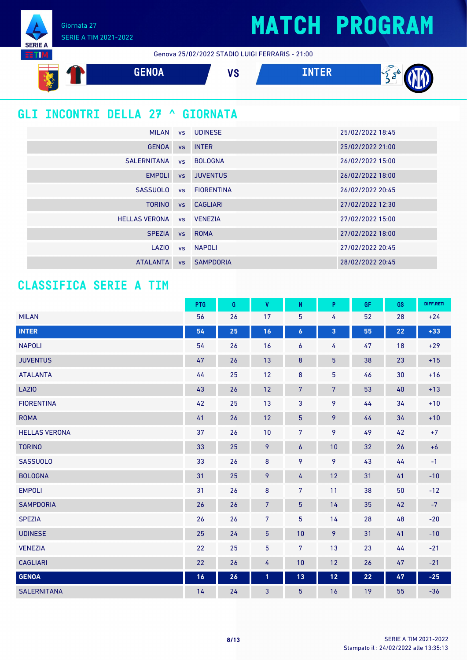Giornata 27 SERIE A TIM 2021-2022

**SERIE A ETIM** 

Genova 25/02/2022 STADIO LUIGI FERRARIS - 21:00



### **GLI INCONTRI DELLA 27 ^ GIORNATA**

| <b>MILAN</b>         |           | vs UDINESE       | 25/02/2022 18:45 |
|----------------------|-----------|------------------|------------------|
| <b>GENOA</b>         | <b>VS</b> | <b>INTER</b>     | 25/02/2022 21:00 |
| SALERNITANA          | <b>VS</b> | <b>BOLOGNA</b>   | 26/02/2022 15:00 |
| <b>EMPOLI</b>        | <b>VS</b> | <b>JUVENTUS</b>  | 26/02/2022 18:00 |
| <b>SASSUOLO</b>      |           | vs FIORENTINA    | 26/02/2022 20:45 |
| <b>TORINO</b>        |           | vs CAGLIARI      | 27/02/2022 12:30 |
| <b>HELLAS VERONA</b> |           | vs VENEZIA       | 27/02/2022 15:00 |
| <b>SPEZIA</b>        | <b>VS</b> | <b>ROMA</b>      | 27/02/2022 18:00 |
| LAZIO                |           | vs NAPOLI        | 27/02/2022 20:45 |
| <b>ATALANTA</b>      | <b>VS</b> | <b>SAMPDORIA</b> | 28/02/2022 20:45 |

#### **CLASSIFICA SERIE A TIM**

|                      | <b>PTG</b> | G  | $\mathbf{V}$   | ${\sf N}$        | P                 | <b>GF</b> | GS | DIFF.RETI |
|----------------------|------------|----|----------------|------------------|-------------------|-----------|----|-----------|
| <b>MILAN</b>         | 56         | 26 | 17             | 5                | 4                 | 52        | 28 | $+24$     |
| <b>INTER</b>         | 54         | 25 | 16             | $\boldsymbol{6}$ | 3                 | 55        | 22 | $+33$     |
| <b>NAPOLI</b>        | 54         | 26 | 16             | 6                | 4                 | 47        | 18 | $+29$     |
| <b>JUVENTUS</b>      | 47         | 26 | 13             | $\pmb{8}$        | $\overline{5}$    | 38        | 23 | $+15$     |
| <b>ATALANTA</b>      | 44         | 25 | 12             | $\bf 8$          | $\overline{5}$    | 46        | 30 | $+16$     |
| <b>LAZIO</b>         | 43         | 26 | 12             | $\sqrt{7}$       | $\overline{7}$    | 53        | 40 | $+13$     |
| <b>FIORENTINA</b>    | 42         | 25 | 13             | 3                | 9                 | 44        | 34 | $+10$     |
| <b>ROMA</b>          | 41         | 26 | 12             | $\overline{5}$   | 9                 | 44        | 34 | $+10$     |
| <b>HELLAS VERONA</b> | 37         | 26 | 10             | $\overline{7}$   | 9                 | 49        | 42 | $+7$      |
| <b>TORINO</b>        | 33         | 25 | 9              | $\overline{6}$   | 10                | 32        | 26 | $+6$      |
| <b>SASSUOLO</b>      | 33         | 26 | 8              | 9                | 9                 | 43        | 44 | $-1$      |
| <b>BOLOGNA</b>       | 31         | 25 | 9              | 4                | 12                | 31        | 41 | $-10$     |
| <b>EMPOLI</b>        | 31         | 26 | $\bf 8$        | $\overline{7}$   | 11                | 38        | 50 | $-12$     |
| <b>SAMPDORIA</b>     | 26         | 26 | $\sqrt{7}$     | $\overline{5}$   | 14                | 35        | 42 | $-7$      |
| <b>SPEZIA</b>        | 26         | 26 | 7              | 5                | 14                | 28        | 48 | $-20$     |
| <b>UDINESE</b>       | 25         | 24 | $\overline{5}$ | 10               | 9                 | 31        | 41 | $-10$     |
| <b>VENEZIA</b>       | 22         | 25 | 5              | $\overline{7}$   | 13                | 23        | 44 | $-21$     |
| <b>CAGLIARI</b>      | 22         | 26 | 4              | 10               | 12                | 26        | 47 | $-21$     |
| <b>GENOA</b>         | 16         | 26 | $\mathbf{1}$   | 13               | $12 \overline{ }$ | 22        | 47 | $-25$     |
| <b>SALERNITANA</b>   | 14         | 24 | 3              | 5                | 16                | 19        | 55 | $-36$     |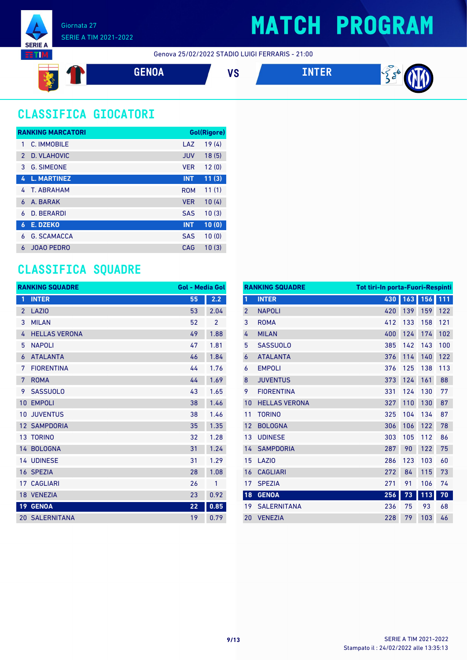

Genova 25/02/2022 STADIO LUIGI FERRARIS - 21:00



### **CLASSIFICA GIOCATORI**

|               | <b>RANKING MARCATORI</b> |            | Gol(Rigore) |
|---------------|--------------------------|------------|-------------|
|               | C. IMMOBILE              | LAZ        | 19(4)       |
| $\mathcal{P}$ | D. VLAHOVIC              | <b>JUV</b> | 18(5)       |
| 3             | <b>G. SIMEONE</b>        | <b>VFR</b> | 12(0)       |
| 4             | <b>L. MARTINEZ</b>       | <b>INT</b> | 11(3)       |
| 4             | T. ABRAHAM               | <b>ROM</b> | 11(1)       |
| 6             | A. BARAK                 | <b>VER</b> | 10(4)       |
| 6             | D. BERARDI               | <b>SAS</b> | 10(3)       |
| 6             | <b>E. DZEKO</b>          | <b>INT</b> | 10(0)       |
| 6             | <b>G. SCAMACCA</b>       | <b>SAS</b> | 10(0)       |
| 6             | <b>JOAO PEDRO</b>        | CAG        | 10(3)       |

#### **CLASSIFICA SQUADRE**

|                 | <b>RANKING SQUADRE</b> | <b>Gol - Media Gol</b> |                |
|-----------------|------------------------|------------------------|----------------|
| 1               | <b>INTER</b>           | 55                     | 2.2            |
| $\overline{2}$  | <b>LAZIO</b>           | 53                     | 2.04           |
| 3               | <b>MILAN</b>           | 52                     | $\overline{2}$ |
| 4               | <b>HELLAS VERONA</b>   | 49                     | 1.88           |
| 5               | <b>NAPOLI</b>          | 47                     | 1.81           |
| 6               | <b>ATALANTA</b>        | 46                     | 1.84           |
| 7               | <b>FIORENTINA</b>      | 44                     | 1.76           |
| 7               | <b>ROMA</b>            | 44                     | 1.69           |
| 9               | <b>SASSUOLO</b>        | 43                     | 1.65           |
| 10              | <b>EMPOLI</b>          | 38                     | 1.46           |
| 10              | <b>JUVENTUS</b>        | 38                     | 1.46           |
| 12              | <b>SAMPDORIA</b>       | 35                     | 1.35           |
|                 | 13 TORINO              | 32                     | 1.28           |
|                 | 14 BOLOGNA             | 31                     | 1.24           |
|                 | <b>14 UDINESE</b>      | 31                     | 1.29           |
|                 | 16 SPEZIA              | 28                     | 1.08           |
|                 | <b>17 CAGLIARI</b>     | 26                     | 1              |
|                 | 18 VENEZIA             | 23                     | 0.92           |
| 19 <sup>°</sup> | <b>GENOA</b>           | 22                     | 0.85           |
|                 | <b>20 SALERNITANA</b>  | 19                     | 0.79           |

|                | <b>RANKING SQUADRE</b><br><b>Tot tiri-In porta-Fuori-Respinti</b> |     |     |     |     |
|----------------|-------------------------------------------------------------------|-----|-----|-----|-----|
| $\overline{1}$ | <b>INTER</b>                                                      | 430 | 163 | 156 | 111 |
| $\overline{2}$ | <b>NAPOLI</b>                                                     | 420 | 139 | 159 | 122 |
| 3              | <b>ROMA</b>                                                       | 412 | 133 | 158 | 121 |
| 4              | <b>MILAN</b>                                                      | 400 | 124 | 174 | 102 |
| 5              | <b>SASSUOLO</b>                                                   | 385 | 142 | 143 | 100 |
| 6              | <b>ATALANTA</b>                                                   | 376 | 114 | 140 | 122 |
| 6              | <b>EMPOLI</b>                                                     | 376 | 125 | 138 | 113 |
| 8              | <b>JUVENTUS</b>                                                   | 373 | 124 | 161 | 88  |
| 9              | <b>FIORENTINA</b>                                                 | 331 | 124 | 130 | 77  |
| 10             | <b>HELLAS VERONA</b>                                              | 327 | 110 | 130 | 87  |
| 11             | <b>TORINO</b>                                                     | 325 | 104 | 134 | 87  |
| 12             | <b>BOLOGNA</b>                                                    | 306 | 106 | 122 | 78  |
| 13             | <b>UDINESE</b>                                                    | 303 | 105 | 112 | 86  |
| 14             | <b>SAMPDORIA</b>                                                  | 287 | 90  | 122 | 75  |
| 15             | LAZIO                                                             | 286 | 123 | 103 | 60  |
| 16             | <b>CAGLIARI</b>                                                   | 272 | 84  | 115 | 73  |
| 17             | <b>SPEZIA</b>                                                     | 271 | 91  | 106 | 74  |
| 18             | <b>GENOA</b>                                                      | 256 | 73  | 113 | 70  |
| 19             | <b>SALERNITANA</b>                                                | 236 | 75  | 93  | 68  |
| 20             | <b>VENEZIA</b>                                                    | 228 | 79  | 103 | 46  |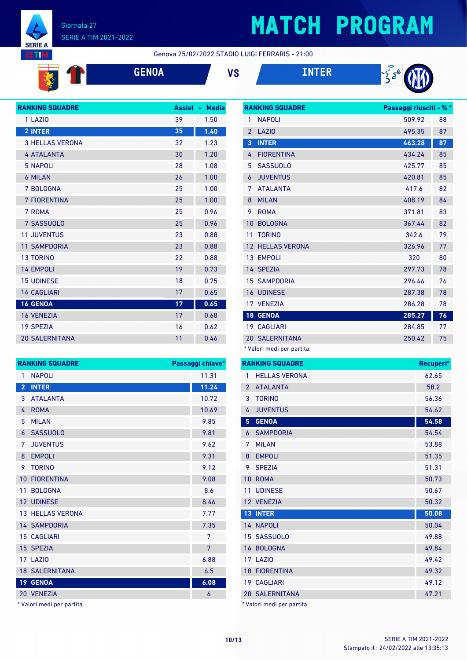

#### Giornata 27 SERIE A TIM 2021-2022

# **MATCH PROGRAM**

Genova 25/02/2022 STADIO LUIGI FERRARIS - 21:00







| <b>RANKING SQUADRE</b> | <b>Assist</b> | <b>Media</b><br>a. |
|------------------------|---------------|--------------------|
| 1 LAZIO                | 39            | 1.50               |
| 2 INTER                | 35            | 1.40               |
| <b>3 HELLAS VERONA</b> | 32            | 1.23               |
| <b>4 ATALANTA</b>      | 30            | 1.20               |
| <b>5 NAPOLI</b>        | 28            | 1.08               |
| <b>6 MILAN</b>         | 26            | 1.00               |
| 7 BOLOGNA              | 25            | 1.00               |
| <b>7 FIORENTINA</b>    | 25            | 1.00               |
| 7 ROMA                 | 25            | 0.96               |
| 7 SASSUOLO             | 25            | 0.96               |
| <b>11 JUVENTUS</b>     | 23            | 0.88               |
| <b>11 SAMPDORIA</b>    | 23            | 0.88               |
| <b>13 TORINO</b>       | 22            | 0.88               |
| <b>14 EMPOLI</b>       | 19            | 0.73               |
| <b>15 UDINESE</b>      | 18            | 0.75               |
| <b>16 CAGLIARI</b>     | 17            | 0.65               |
| <b>16 GENOA</b>        | 17            | 0.65               |
| <b>16 VENEZIA</b>      | 17            | 0.68               |
| <b>19 SPEZIA</b>       | 16            | 0.62               |
| <b>20 SALERNITANA</b>  | 11            | 0.46               |
|                        |               |                    |

| <b>RANKING SQUADRE</b> |                         | Passaggi chiave* |
|------------------------|-------------------------|------------------|
| 1                      | <b>NAPOLI</b>           | 11.31            |
| $\overline{2}$         | <b>INTER</b>            | 11.24            |
| 3                      | <b>ATALANTA</b>         | 10.72            |
| 4                      | <b>ROMA</b>             | 10.69            |
| 5                      | <b>MILAN</b>            | 9.85             |
| 6                      | <b>SASSUOLO</b>         | 9.81             |
| 7                      | <b>JUVENTUS</b>         | 9.62             |
| 8                      | <b>EMPOLI</b>           | 9.31             |
| 9                      | <b>TORINO</b>           | 9.12             |
| 10                     | <b>FIORENTINA</b>       | 9.08             |
| 11                     | <b>BOLOGNA</b>          | 8.6              |
|                        | 12 UDINESE              | 8.46             |
|                        | <b>13 HELLAS VERONA</b> | 7.77             |
|                        | <b>14 SAMPDORIA</b>     | 7.35             |
|                        | <b>15 CAGLIARI</b>      | 7                |
|                        | 15 SPEZIA               | 7                |
|                        | <b>17 LAZIO</b>         | 6.88             |
|                        | <b>18 SALERNITANA</b>   | 6.5              |
|                        | 19 GENOA                | 6.08             |
|                        | 20 VENEZIA              | 6                |

\* Valori medi per partita.

|                | <b>RANKING SQUADRE</b>     | Passaggi riusciti - % * |    |
|----------------|----------------------------|-------------------------|----|
| 1              | <b>NAPOLI</b>              | 509.92                  | 88 |
| $\overline{2}$ | <b>LAZIO</b>               | 495.35                  | 87 |
| 3              | <b>INTER</b>               | 463.28                  | 87 |
| 4              | <b>FIORENTINA</b>          | 434.24                  | 85 |
| 5              | <b>SASSUOLO</b>            | 425.77                  | 85 |
| 6              | <b>JUVENTUS</b>            | 420.81                  | 85 |
| 7              | <b>ATALANTA</b>            | 417.6                   | 82 |
| 8              | <b>MILAN</b>               | 408.19                  | 84 |
| 9              | <b>ROMA</b>                | 371.81                  | 83 |
| 10             | <b>BOLOGNA</b>             | 367.44                  | 82 |
| 11             | <b>TORINO</b>              | 342.6                   | 79 |
| 12             | <b>HELLAS VERONA</b>       | 326.96                  | 77 |
|                | 13 EMPOLI                  | 320                     | 80 |
|                | 14 SPEZIA                  | 297.73                  | 78 |
|                | <b>15 SAMPDORIA</b>        | 296.46                  | 76 |
|                | <b>16 UDINESE</b>          | 287.38                  | 78 |
|                | 17 VENEZIA                 | 286.28                  | 78 |
|                | 18 GENOA                   | 285.27                  | 76 |
|                | <b>19 CAGLIARI</b>         | 284.85                  | 77 |
|                | <b>20 SALERNITANA</b>      | 250.42                  | 75 |
|                | * Valori medi per partita. |                         |    |

|                | <b>RANKING SQUADRE</b>     | Recuperi* |
|----------------|----------------------------|-----------|
| 1              | <b>HELLAS VERONA</b>       | 62.65     |
| $\overline{2}$ | <b>ATALANTA</b>            | 58.2      |
| 3              | <b>TORINO</b>              | 56.36     |
| 4              | <b>JUVENTUS</b>            | 54.62     |
| 5              | <b>GENOA</b>               | 54.58     |
| 6              | <b>SAMPDORIA</b>           | 54.54     |
| 7              | <b>MILAN</b>               | 53.88     |
| 8              | <b>EMPOLI</b>              | 51.35     |
| 9              | <b>SPEZIA</b>              | 51.31     |
| 10             | <b>ROMA</b>                | 50.73     |
| 11             | <b>UDINESE</b>             | 50.67     |
|                | 12 VENEZIA                 | 50.32     |
| 13             | <b>INTER</b>               | 50.08     |
|                | <b>14 NAPOLI</b>           | 50.04     |
|                | 15 SASSUOLO                | 49.88     |
|                | 16 BOLOGNA                 | 49.84     |
|                | <b>17 LAZIO</b>            | 49.42     |
|                | <b>18 FIORENTINA</b>       | 49.32     |
|                | 19 CAGLIARI                | 49.12     |
|                | <b>20 SALERNITANA</b>      | 47.21     |
|                | * Valori medi per partita. |           |

Stampato il : 24/02/2022 alle 13:35:13 **10/13** SERIE A TIM 2021-2022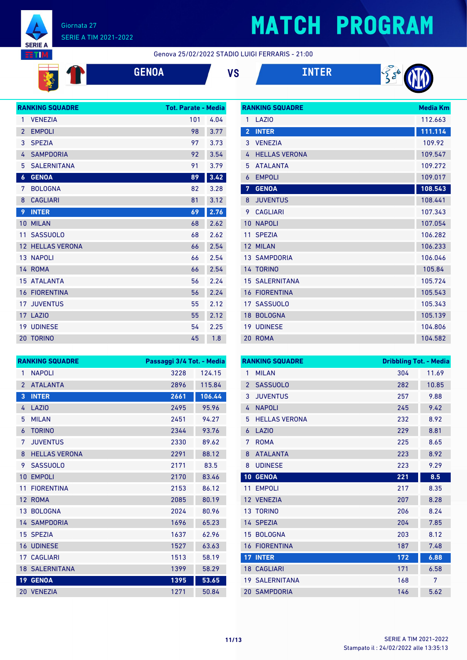

#### Giornata 27 SERIE A TIM 2021-2022

## **MATCH PROGRAM**

#### Genova 25/02/2022 STADIO LUIGI FERRARIS - 21:00

| <b>Service Service</b>                                          |  |  |
|-----------------------------------------------------------------|--|--|
| the contract of the contract of the contract of the contract of |  |  |
|                                                                 |  |  |
|                                                                 |  |  |
|                                                                 |  |  |
|                                                                 |  |  |
|                                                                 |  |  |
|                                                                 |  |  |
|                                                                 |  |  |
|                                                                 |  |  |
|                                                                 |  |  |
|                                                                 |  |  |
|                                                                 |  |  |
|                                                                 |  |  |
|                                                                 |  |  |
|                                                                 |  |  |
|                                                                 |  |  |
|                                                                 |  |  |
|                                                                 |  |  |
|                                                                 |  |  |



|                  | <b>RANKING SQUADRE</b>  | <b>Tot. Parate - Media</b> |      |
|------------------|-------------------------|----------------------------|------|
| 1                | <b>VENEZIA</b>          | 101                        | 4.04 |
| $\overline{2}$   | <b>EMPOLI</b>           | 98                         | 3.77 |
| 3                | <b>SPEZIA</b>           | 97                         | 3.73 |
| 4                | <b>SAMPDORIA</b>        | 92                         | 3.54 |
| 5                | <b>SALERNITANA</b>      | 91                         | 3.79 |
| $\boldsymbol{6}$ | <b>GENOA</b>            | 89                         | 3.42 |
| 7                | <b>BOLOGNA</b>          | 82                         | 3.28 |
| 8                | <b>CAGLIARI</b>         | 81                         | 3.12 |
| 9                | <b>INTER</b>            | 69                         | 2.76 |
| 10 <sup>°</sup>  | <b>MILAN</b>            | 68                         | 2.62 |
| 11               | <b>SASSUOLO</b>         | 68                         | 2.62 |
|                  | <b>12 HELLAS VERONA</b> | 66                         | 2.54 |
|                  | <b>13 NAPOLI</b>        | 66                         | 2.54 |
|                  | 14 ROMA                 | 66                         | 2.54 |
|                  | <b>15 ATALANTA</b>      | 56                         | 2.24 |
|                  | <b>16 FIORENTINA</b>    | 56                         | 2.24 |
|                  | <b>17 JUVENTUS</b>      | 55                         | 2.12 |
|                  | 17 LAZIO                | 55                         | 2.12 |
|                  | <b>19 UDINESE</b>       | 54                         | 2.25 |
|                  | <b>20 TORINO</b>        | 45                         | 1.8  |

| <b>RANKING SQUADRE</b> | <b>Media Km</b>       |         |
|------------------------|-----------------------|---------|
| 1                      | LAZI <sub>0</sub>     | 112.663 |
| $\overline{2}$         | <b>INTER</b>          | 111.114 |
| 3                      | <b>VENEZIA</b>        | 109.92  |
| 4                      | <b>HELLAS VERONA</b>  | 109.547 |
| 5                      | <b>ATALANTA</b>       | 109.272 |
| 6                      | <b>EMPOLI</b>         | 109.017 |
| 7                      | <b>GENOA</b>          | 108.543 |
| 8                      | <b>JUVENTUS</b>       | 108.441 |
| 9                      | <b>CAGLIARI</b>       | 107.343 |
| 10                     | <b>NAPOLI</b>         | 107.054 |
| 11                     | <b>SPEZIA</b>         | 106.282 |
| 12                     | <b>MILAN</b>          | 106.233 |
|                        | <b>13 SAMPDORIA</b>   | 106.046 |
|                        | 14 TORINO             | 105.84  |
|                        | <b>15 SALERNITANA</b> | 105.724 |
| 16                     | <b>FIORENTINA</b>     | 105.543 |
| 17                     | <b>SASSUOLO</b>       | 105.343 |
| 18                     | <b>BOLOGNA</b>        | 105.139 |
| 19                     | <b>UDINESE</b>        | 104.806 |
|                        | 20 ROMA               | 104.582 |

| <b>RANKING SQUADRE</b> |                       | Passaggi 3/4 Tot. - Media |        |
|------------------------|-----------------------|---------------------------|--------|
| 1                      | <b>NAPOLI</b>         | 3228                      | 124.15 |
| $\overline{2}$         | <b>ATALANTA</b>       | 2896                      | 115.84 |
| 3                      | <b>INTER</b>          | 2661                      | 106.44 |
| 4                      | LAZIO                 | 2495                      | 95.96  |
| 5                      | <b>MILAN</b>          | 2451                      | 94.27  |
| 6                      | <b>TORINO</b>         | 2344                      | 93.76  |
| 7                      | <b>JUVENTUS</b>       | 2330                      | 89.62  |
| 8                      | <b>HELLAS VERONA</b>  | 2291                      | 88.12  |
| 9                      | <b>SASSUOLO</b>       | 2171                      | 83.5   |
| 10                     | <b>EMPOLI</b>         | 2170                      | 83.46  |
| 11                     | <b>FIORENTINA</b>     | 2153                      | 86.12  |
| 12                     | <b>ROMA</b>           | 2085                      | 80.19  |
|                        | 13 BOLOGNA            | 2024                      | 80.96  |
|                        | <b>14 SAMPDORIA</b>   | 1696                      | 65.23  |
| 15                     | <b>SPEZIA</b>         | 1637                      | 62.96  |
|                        | <b>16 UDINESE</b>     | 1527                      | 63.63  |
|                        | 17 CAGLIARI           | 1513                      | 58.19  |
|                        | <b>18 SALERNITANA</b> | 1399                      | 58.29  |
| 19 <sup>°</sup>        | <b>GENOA</b>          | 1395                      | 53.65  |
|                        | 20 VENEZIA            | 1271                      | 50.84  |

| <b>RANKING SQUADRE</b> |                       | <b>Dribbling Tot. - Media</b> |       |
|------------------------|-----------------------|-------------------------------|-------|
| 1                      | <b>MILAN</b>          | 304                           | 11.69 |
| $\overline{2}$         | <b>SASSUOLO</b>       | 282                           | 10.85 |
| 3                      | <b>JUVENTUS</b>       | 257                           | 9.88  |
| 4                      | <b>NAPOLI</b>         | 245                           | 9.42  |
| 5                      | <b>HELLAS VERONA</b>  | 232                           | 8.92  |
| 6                      | LAZI <sub>0</sub>     | 229                           | 8.81  |
| 7                      | <b>ROMA</b>           | 225                           | 8.65  |
| 8                      | <b>ATALANTA</b>       | 223                           | 8.92  |
| 8                      | <b>UDINESE</b>        | 223                           | 9.29  |
| 10                     | <b>GENOA</b>          | 221                           | 8.5   |
| 11                     | <b>EMPOLI</b>         | 217                           | 8.35  |
|                        | 12 VENEZIA            | 207                           | 8.28  |
| 13                     | <b>TORINO</b>         | 206                           | 8.24  |
|                        | 14 SPEZIA             | 204                           | 7.85  |
| 15                     | <b>BOLOGNA</b>        | 203                           | 8.12  |
| 16                     | <b>FIORENTINA</b>     | 187                           | 7.48  |
| 17 <sup>2</sup>        | <b>INTER</b>          | 172                           | 6.88  |
|                        | <b>18 CAGLIARI</b>    | 171                           | 6.58  |
|                        | <b>19 SALERNITANA</b> | 168                           | 7     |
|                        | <b>20 SAMPDORIA</b>   | 146                           | 5.62  |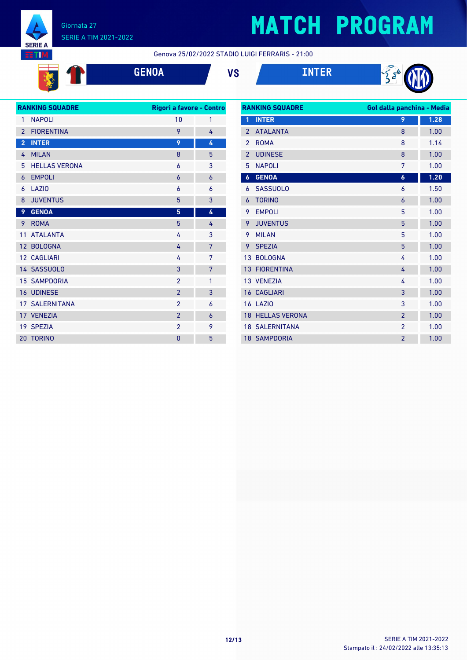

**RIGHT** 

#### Giornata 27 SERIE A TIM 2021-2022

# **MATCH PROGRAM**

Genova 25/02/2022 STADIO LUIGI FERRARIS - 21:00

**GENOA VS INTER**





| <b>RANKING SQUADRE</b> |                       | Rigori a favore - Contro |   |
|------------------------|-----------------------|--------------------------|---|
| 1                      | <b>NAPOLI</b>         | 10                       | 1 |
| $\overline{2}$         | <b>FIORENTINA</b>     | 9                        | 4 |
| $\overline{2}$         | <b>INTER</b>          | 9                        | 4 |
| 4                      | <b>MILAN</b>          | 8                        | 5 |
| 5                      | <b>HELLAS VERONA</b>  | 6                        | 3 |
| 6                      | <b>EMPOLI</b>         | 6                        | 6 |
| 6                      | LAZI <sub>0</sub>     | 6                        | 6 |
| 8                      | <b>JUVENTUS</b>       | 5                        | 3 |
| 9                      | <b>GENOA</b>          | 5                        | 4 |
| 9                      | <b>ROMA</b>           | 5                        | 4 |
| 11                     | <b>ATALANTA</b>       | 4                        | 3 |
|                        | 12 BOLOGNA            | 4                        | 7 |
|                        | <b>12 CAGLIARI</b>    | 4                        | 7 |
|                        | 14 SASSUOLO           | 3                        | 7 |
|                        | <b>15 SAMPDORIA</b>   | $\overline{2}$           | 1 |
|                        | <b>16 UDINESE</b>     | $\overline{2}$           | 3 |
|                        | <b>17 SALERNITANA</b> | $\mathfrak{p}$           | 6 |
|                        | 17 VENEZIA            | $\overline{2}$           | 6 |
|                        | 19 SPEZIA             | $\overline{2}$           | 9 |
| 20                     | <b>TORINO</b>         | 0                        | 5 |
|                        |                       |                          |   |

| <b>RANKING SQUADRE</b> |                         | Gol dalla panchina - Media |      |
|------------------------|-------------------------|----------------------------|------|
| 1                      | <b>INTER</b>            | 9                          | 1.28 |
| $\overline{2}$         | <b>ATALANTA</b>         | 8                          | 1.00 |
| $\mathfrak{p}$         | <b>ROMA</b>             | 8                          | 1.14 |
| $\overline{2}$         | <b>UDINESE</b>          | 8                          | 1.00 |
| 5                      | <b>NAPOLI</b>           | 7                          | 1.00 |
| $\boldsymbol{6}$       | <b>GENOA</b>            | 6                          | 1.20 |
| 6                      | <b>SASSUOLO</b>         | 6                          | 1.50 |
| 6                      | <b>TORINO</b>           | 6                          | 1.00 |
| 9                      | <b>EMPOLI</b>           | 5                          | 1.00 |
| 9                      | <b>JUVENTUS</b>         | 5                          | 1.00 |
| 9                      | <b>MILAN</b>            | 5                          | 1.00 |
| 9                      | <b>SPEZIA</b>           | 5                          | 1.00 |
| 13                     | <b>BOLOGNA</b>          | 4                          | 1.00 |
| 13                     | <b>FIORENTINA</b>       | 4                          | 1.00 |
|                        | 13 VENEZIA              | 4                          | 1.00 |
| 16                     | <b>CAGLIARI</b>         | 3                          | 1.00 |
|                        | <b>16 LAZIO</b>         | 3                          | 1.00 |
|                        | <b>18 HELLAS VERONA</b> | $\overline{2}$             | 1.00 |
|                        | <b>18 SALERNITANA</b>   | $\overline{2}$             | 1.00 |
|                        | <b>18 SAMPDORIA</b>     | $\overline{2}$             | 1.00 |